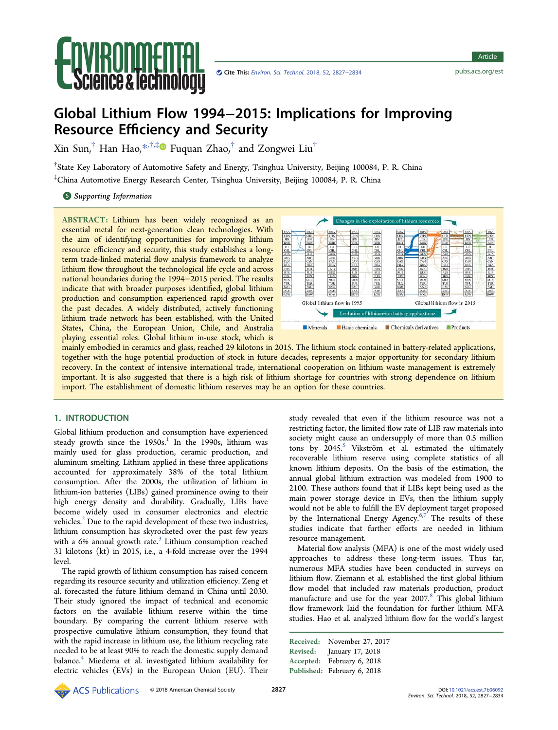

Article

# Global Lithium Flow 1994−2015: Implications for Improving Resource Efficiency and Security

Xin Sun,<sup>†</sup> Han Hao,<sup>[\\*](#page-6-0),†,‡</sup> $\bullet$  Fuquan Zhao,<sup>†</sup> and Zongwei Liu<sup>†</sup>

† State Key Laboratory of Automotive Safety and Energy, Tsinghua University, Beijing 100084, P. R. China ‡ China Automotive Energy Research Center, Tsinghua University, Beijing 100084, P. R. China

**S** [Supporting Information](#page-6-0)

ABSTRACT: Lithium has been widely recognized as an essential metal for next-generation clean technologies. With the aim of identifying opportunities for improving lithium resource efficiency and security, this study establishes a longterm trade-linked material flow analysis framework to analyze lithium flow throughout the technological life cycle and across national boundaries during the 1994−2015 period. The results indicate that with broader purposes identified, global lithium production and consumption experienced rapid growth over the past decades. A widely distributed, actively functioning lithium trade network has been established, with the United States, China, the European Union, Chile, and Australia playing essential roles. Global lithium in-use stock, which is



mainly embodied in ceramics and glass, reached 29 kilotons in 2015. The lithium stock contained in battery-related applications, together with the huge potential production of stock in future decades, represents a major opportunity for secondary lithium recovery. In the context of intensive international trade, international cooperation on lithium waste management is extremely important. It is also suggested that there is a high risk of lithium shortage for countries with strong dependence on lithium import. The establishment of domestic lithium reserves may be an option for these countries.

# 1. INTRODUCTION

Global lithium production and consumption have experienced steady growth since the  $1950s<sup>1</sup>$  $1950s<sup>1</sup>$  In the 1990s, lithium was mainly used for glass production, ceramic production, and aluminum smelting. Lithium applied in these three applications accounted for approximately 38% of the total lithium consumption. After the 2000s, the utilization of lithium in lithium-ion batteries (LIBs) gained prominence owing to their high energy density and durability. Gradually, LIBs have become widely used in consumer electronics and electric vehicles. $<sup>2</sup>$  $<sup>2</sup>$  $<sup>2</sup>$  Due to the rapid development of these two industries,</sup> lithium consumption has skyrocketed over the past few years with a  $6\%$  annual growth rate. $3$  Lithium consumption reached 31 kilotons (kt) in 2015, i.e., a 4-fold increase over the 1994 level.

The rapid growth of lithium consumption has raised concern regarding its resource security and utilization efficiency. Zeng et al. forecasted the future lithium demand in China until 2030. Their study ignored the impact of technical and economic factors on the available lithium reserve within the time boundary. By comparing the current lithium reserve with prospective cumulative lithium consumption, they found that with the rapid increase in lithium use, the lithium recycling rate needed to be at least 90% to reach the domestic supply demand balance.<sup>[4](#page-6-0)</sup> Miedema et al. investigated lithium availability for electric vehicles (EVs) in the European Union (EU). Their

study revealed that even if the lithium resource was not a restricting factor, the limited flow rate of LIB raw materials into society might cause an undersupply of more than 0.5 million tons by  $2045$  $2045$ .<sup>5</sup> Vikström et al. estimated the ultimately recoverable lithium reserve using complete statistics of all known lithium deposits. On the basis of the estimation, the annual global lithium extraction was modeled from 1900 to 2100. These authors found that if LIBs kept being used as the main power storage device in EVs, then the lithium supply would not be able to fulfill the EV deployment target proposed by the International Energy Agency.<sup>[6](#page-6-0),[7](#page-6-0)</sup> The results of these studies indicate that further efforts are needed in lithium resource management.

Material flow analysis (MFA) is one of the most widely used approaches to address these long-term issues. Thus far, numerous MFA studies have been conducted in surveys on lithium flow. Ziemann et al. established the first global lithium flow model that included raw materials production, product manufacture and use for the year 2007.<sup>[8](#page-6-0)</sup> This global lithium flow framework laid the foundation for further lithium MFA studies. Hao et al. analyzed lithium flow for the world's largest

◆△◆ ACS Publications © 2018 American Chemical Society 2827 DOI: [10.1021/acs.est.7b06092](http://dx.doi.org/10.1021/acs.est.7b06092)

Received: November 27, 2017 Revised: January 17, 2018 Accepted: February 6, 2018 Published: February 6, 2018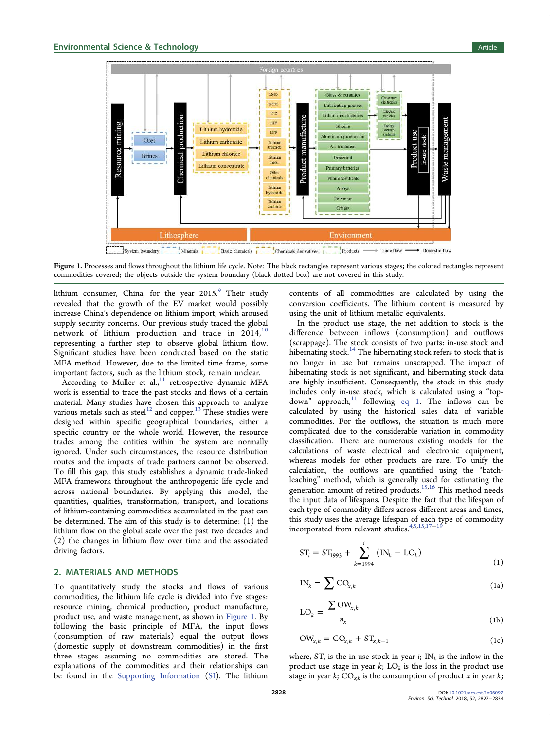

Figure 1. Processes and flows throughout the lithium life cycle. Note: The black rectangles represent various stages; the colored rectangles represent commodities covered; the objects outside the system boundary (black dotted box) are not covered in this study.

lithium consumer, China, for the year 2015.<sup>[9](#page-6-0)</sup> Their study revealed that the growth of the EV market would possibly increase China's dependence on lithium import, which aroused supply security concerns. Our previous study traced the global network of lithium production and trade in  $2014$ ,<sup>[10](#page-6-0)</sup> representing a further step to observe global lithium flow. Significant studies have been conducted based on the static MFA method. However, due to the limited time frame, some important factors, such as the lithium stock, remain unclear.

According to Muller et  $al$ ,<sup>[11](#page-6-0)</sup> retrospective dynamic MFA work is essential to trace the past stocks and flows of a certain material. Many studies have chosen this approach to analyze various metals such as steel<sup>[12](#page-6-0)</sup> and copper.<sup>[13](#page-6-0)</sup> These studies were designed within specific geographical boundaries, either a specific country or the whole world. However, the resource trades among the entities within the system are normally ignored. Under such circumstances, the resource distribution routes and the impacts of trade partners cannot be observed. To fill this gap, this study establishes a dynamic trade-linked MFA framework throughout the anthropogenic life cycle and across national boundaries. By applying this model, the quantities, qualities, transformation, transport, and locations of lithium-containing commodities accumulated in the past can be determined. The aim of this study is to determine: (1) the lithium flow on the global scale over the past two decades and (2) the changes in lithium flow over time and the associated driving factors.

# 2. MATERIALS AND METHODS

To quantitatively study the stocks and flows of various commodities, the lithium life cycle is divided into five stages: resource mining, chemical production, product manufacture, product use, and waste management, as shown in Figure 1. By following the basic principle of MFA, the input flows (consumption of raw materials) equal the output flows (domestic supply of downstream commodities) in the first three stages assuming no commodities are stored. The explanations of the commodities and their relationships can be found in the [Supporting Information](#page-6-0) ([SI\)](http://pubs.acs.org/doi/suppl/10.1021/acs.est.7b06092/suppl_file/es7b06092_si_001.pdf). The lithium

contents of all commodities are calculated by using the conversion coefficients. The lithium content is measured by using the unit of lithium metallic equivalents.

In the product use stage, the net addition to stock is the difference between inflows (consumption) and outflows (scrappage). The stock consists of two parts: in-use stock and hibernating stock.<sup>[14](#page-6-0)</sup> The hibernating stock refers to stock that is no longer in use but remains unscrapped. The impact of hibernating stock is not significant, and hibernating stock data are highly insufficient. Consequently, the stock in this study includes only in-use stock, which is calculated using a "topdown" approach, $11$  following eq 1. The inflows can be calculated by using the historical sales data of variable commodities. For the outflows, the situation is much more complicated due to the considerable variation in commodity classification. There are numerous existing models for the calculations of waste electrical and electronic equipment, whereas models for other products are rare. To unify the calculation, the outflows are quantified using the "batchleaching" method, which is generally used for estimating the generation amount of retired products.<sup>[15](#page-6-0),[16](#page-6-0)</sup> This method needs the input data of lifespans. Despite the fact that the lifespan of each type of commodity differs across different areas and times, this study uses the average lifespan of each type of commodity incorporated from relevant studies.[4](#page-6-0),[5](#page-6-0),[15,17](#page-6-0)−[19](#page-6-0)

$$
ST_i = ST_{1993} + \sum_{k=1994}^{i} (IN_k - LO_k)
$$
 (1)

$$
IN_k = \sum CO_{x,k} \tag{1a}
$$

$$
LO_k = \frac{\sum \text{OW}_{x,k}}{n_x} \tag{1b}
$$

$$
OW_{x,k} = CO_{x,k} + ST_{x,k-1}
$$
 (1c)

where,  $ST_i$  is the in-use stock in year *i*;  $IN_k$  is the inflow in the product use stage in year  $k$ ;  $LO_k$  is the loss in the product use stage in year k;  $CO_{x,k}$  is the consumption of product x in year k;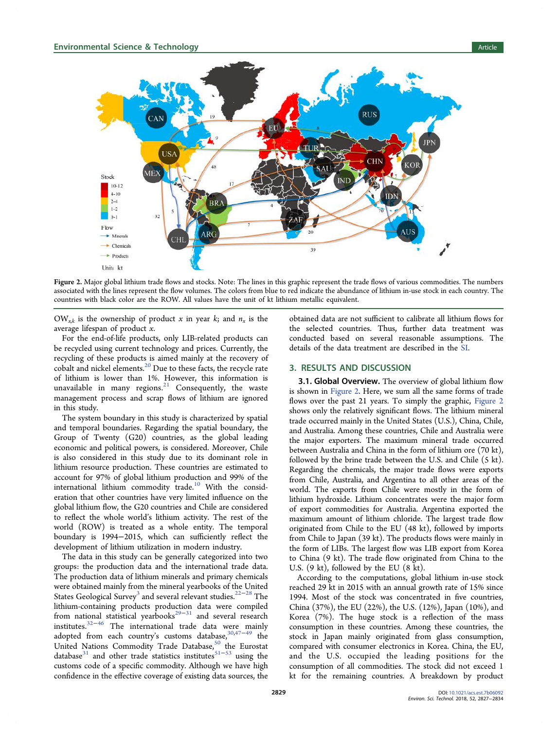

Figure 2. Major global lithium trade flows and stocks. Note: The lines in this graphic represent the trade flows of various commodities. The numbers associated with the lines represent the flow volumes. The colors from blue to red indicate the abundance of lithium in-use stock in each country. The countries with black color are the ROW. All values have the unit of kt lithium metallic equivalent.

 $\text{OW}_{x,k}$  is the ownership of product x in year k; and  $n_x$  is the average lifespan of product x.

For the end-of-life products, only LIB-related products can be recycled using current technology and prices. Currently, the recycling of these products is aimed mainly at the recovery of cobalt and nickel elements.<sup>[20](#page-7-0)</sup> Due to these facts, the recycle rate of lithium is lower than 1%. However, this information is unavailable in many regions. $^{21}$  $^{21}$  $^{21}$  Consequently, the waste management process and scrap flows of lithium are ignored in this study.

The system boundary in this study is characterized by spatial and temporal boundaries. Regarding the spatial boundary, the Group of Twenty (G20) countries, as the global leading economic and political powers, is considered. Moreover, Chile is also considered in this study due to its dominant role in lithium resource production. These countries are estimated to account for 97% of global lithium production and 99% of the international lithium commodity trade.<sup>[10](#page-6-0)</sup> With the consideration that other countries have very limited influence on the global lithium flow, the G20 countries and Chile are considered to reflect the whole world's lithium activity. The rest of the world (ROW) is treated as a whole entity. The temporal boundary is 1994−2015, which can sufficiently reflect the development of lithium utilization in modern industry.

The data in this study can be generally categorized into two groups: the production data and the international trade data. The production data of lithium minerals and primary chemicals were obtained mainly from the mineral yearbooks of the United States Geological Survey<sup>[3](#page-6-0)</sup> and several relevant studies.<sup>[22](#page-7-0)-[28](#page-7-0)</sup> The lithium-containing products production data were compiled from national statistical yearbooks<sup>[29](#page-7-0)−[31](#page-7-0)</sup> and several research institutes.<sup>[32](#page-7-0)−[46](#page-7-0)</sup> The international trade data were mainly adopted from each country's customs database, $30,47-49$  $30,47-49$  $30,47-49$  $30,47-49$  $30,47-49$  the United Nations Commodity Trade Database,<sup>[50](#page-7-0)</sup> the Eurostat database $31$  and other trade statistics institutes $51-53$  $51-53$  $51-53$  using the customs code of a specific commodity. Although we have high confidence in the effective coverage of existing data sources, the

obtained data are not sufficient to calibrate all lithium flows for the selected countries. Thus, further data treatment was conducted based on several reasonable assumptions. The details of the data treatment are described in the [SI.](http://pubs.acs.org/doi/suppl/10.1021/acs.est.7b06092/suppl_file/es7b06092_si_001.pdf)

#### 3. RESULTS AND DISCUSSION

**3.1. Global Overview.** The overview of global lithium flow is shown in Figure 2. Here, we sum all the same forms of trade flows over the past 21 years. To simply the graphic, Figure 2 shows only the relatively significant flows. The lithium mineral trade occurred mainly in the United States (U.S.), China, Chile, and Australia. Among these countries, Chile and Australia were the major exporters. The maximum mineral trade occurred between Australia and China in the form of lithium ore (70 kt), followed by the brine trade between the U.S. and Chile (5 kt). Regarding the chemicals, the major trade flows were exports from Chile, Australia, and Argentina to all other areas of the world. The exports from Chile were mostly in the form of lithium hydroxide. Lithium concentrates were the major form of export commodities for Australia. Argentina exported the maximum amount of lithium chloride. The largest trade flow originated from Chile to the EU (48 kt), followed by imports from Chile to Japan (39 kt). The products flows were mainly in the form of LIBs. The largest flow was LIB export from Korea to China (9 kt). The trade flow originated from China to the U.S. (9 kt), followed by the EU (8 kt).

According to the computations, global lithium in-use stock reached 29 kt in 2015 with an annual growth rate of 15% since 1994. Most of the stock was concentrated in five countries, China (37%), the EU (22%), the U.S. (12%), Japan (10%), and Korea (7%). The huge stock is a reflection of the mass consumption in these countries. Among these countries, the stock in Japan mainly originated from glass consumption, compared with consumer electronics in Korea. China, the EU, and the U.S. occupied the leading positions for the consumption of all commodities. The stock did not exceed 1 kt for the remaining countries. A breakdown by product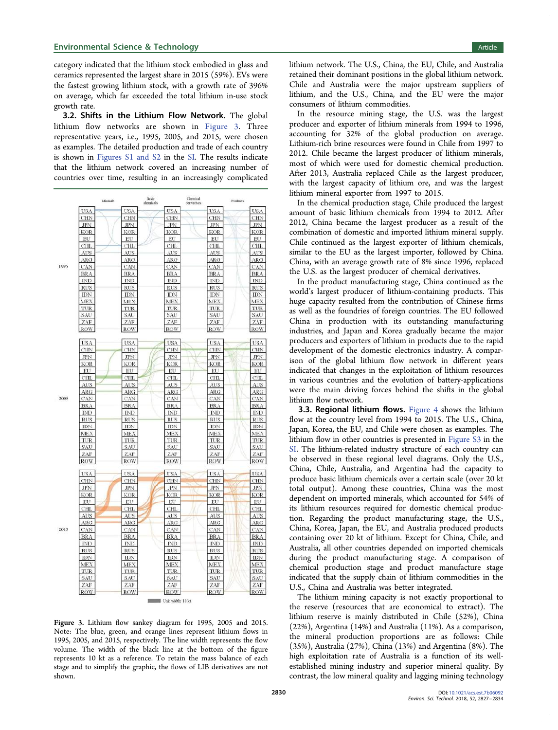category indicated that the lithium stock embodied in glass and ceramics represented the largest share in 2015 (59%). EVs were the fastest growing lithium stock, with a growth rate of 396% on average, which far exceeded the total lithium in-use stock growth rate.

3.2. Shifts in the Lithium Flow Network. The global lithium flow networks are shown in Figure 3. Three representative years, i.e., 1995, 2005, and 2015, were chosen as examples. The detailed production and trade of each country is shown in [Figures S1 and S2](http://pubs.acs.org/doi/suppl/10.1021/acs.est.7b06092/suppl_file/es7b06092_si_001.pdf) in the [SI](http://pubs.acs.org/doi/suppl/10.1021/acs.est.7b06092/suppl_file/es7b06092_si_001.pdf). The results indicate that the lithium network covered an increasing number of countries over time, resulting in an increasingly complicated



Figure 3. Lithium flow sankey diagram for 1995, 2005 and 2015. Note: The blue, green, and orange lines represent lithium flows in 1995, 2005, and 2015, respectively. The line width represents the flow volume. The width of the black line at the bottom of the figure represents 10 kt as a reference. To retain the mass balance of each stage and to simplify the graphic, the flows of LIB derivatives are not shown.

lithium network. The U.S., China, the EU, Chile, and Australia retained their dominant positions in the global lithium network. Chile and Australia were the major upstream suppliers of lithium, and the U.S., China, and the EU were the major consumers of lithium commodities.

In the resource mining stage, the U.S. was the largest producer and exporter of lithium minerals from 1994 to 1996, accounting for 32% of the global production on average. Lithium-rich brine resources were found in Chile from 1997 to 2012. Chile became the largest producer of lithium minerals, most of which were used for domestic chemical production. After 2013, Australia replaced Chile as the largest producer, with the largest capacity of lithium ore, and was the largest lithium mineral exporter from 1997 to 2015.

In the chemical production stage, Chile produced the largest amount of basic lithium chemicals from 1994 to 2012. After 2012, China became the largest producer as a result of the combination of domestic and imported lithium mineral supply. Chile continued as the largest exporter of lithium chemicals, similar to the EU as the largest importer, followed by China. China, with an average growth rate of 8% since 1996, replaced the U.S. as the largest producer of chemical derivatives.

In the product manufacturing stage, China continued as the world's largest producer of lithium-containing products. This huge capacity resulted from the contribution of Chinese firms as well as the foundries of foreign countries. The EU followed China in production with its outstanding manufacturing industries, and Japan and Korea gradually became the major producers and exporters of lithium in products due to the rapid development of the domestic electronics industry. A comparison of the global lithium flow network in different years indicated that changes in the exploitation of lithium resources in various countries and the evolution of battery-applications were the main driving forces behind the shifts in the global lithium flow network.

3.3. Regional lithium flows. [Figure 4](#page-4-0) shows the lithium flow at the country level from 1994 to 2015. The U.S., China, Japan, Korea, the EU, and Chile were chosen as examples. The lithium flow in other countries is presented in [Figure S3](http://pubs.acs.org/doi/suppl/10.1021/acs.est.7b06092/suppl_file/es7b06092_si_001.pdf) in the [SI](http://pubs.acs.org/doi/suppl/10.1021/acs.est.7b06092/suppl_file/es7b06092_si_001.pdf). The lithium-related industry structure of each country can be observed in these regional level diagrams. Only the U.S., China, Chile, Australia, and Argentina had the capacity to produce basic lithium chemicals over a certain scale (over 20 kt total output). Among these countries, China was the most dependent on imported minerals, which accounted for 54% of its lithium resources required for domestic chemical production. Regarding the product manufacturing stage, the U.S., China, Korea, Japan, the EU, and Australia produced products containing over 20 kt of lithium. Except for China, Chile, and Australia, all other countries depended on imported chemicals during the product manufacturing stage. A comparison of chemical production stage and product manufacture stage indicated that the supply chain of lithium commodities in the U.S., China and Australia was better integrated.

The lithium mining capacity is not exactly proportional to the reserve (resources that are economical to extract). The lithium reserve is mainly distributed in Chile (52%), China (22%), Argentina (14%) and Australia (11%). As a comparison, the mineral production proportions are as follows: Chile (35%), Australia (27%), China (13%) and Argentina (8%). The high exploitation rate of Australia is a function of its wellestablished mining industry and superior mineral quality. By contrast, the low mineral quality and lagging mining technology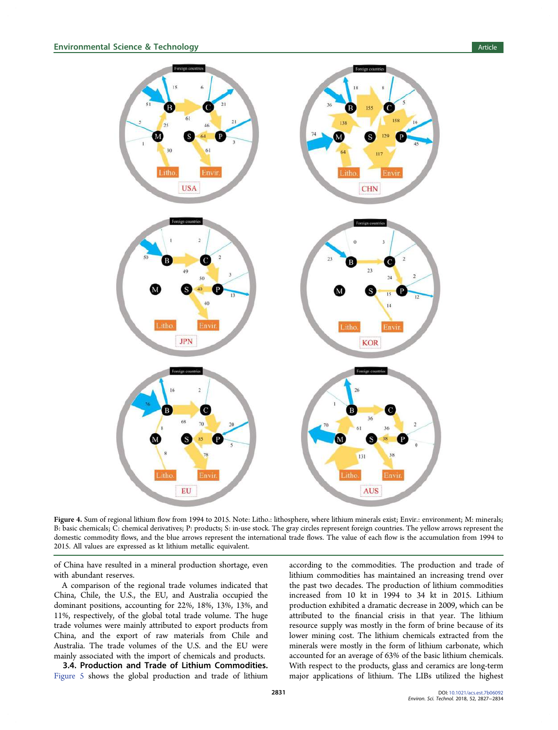<span id="page-4-0"></span>

Figure 4. Sum of regional lithium flow from 1994 to 2015. Note: Litho.: lithosphere, where lithium minerals exist; Envir.: environment; M: minerals; B: basic chemicals; C: chemical derivatives; P: products; S: in-use stock. The gray circles represent foreign countries. The yellow arrows represent the domestic commodity flows, and the blue arrows represent the international trade flows. The value of each flow is the accumulation from 1994 to 2015. All values are expressed as kt lithium metallic equivalent.

of China have resulted in a mineral production shortage, even with abundant reserves.

A comparison of the regional trade volumes indicated that China, Chile, the U.S., the EU, and Australia occupied the dominant positions, accounting for 22%, 18%, 13%, 13%, and 11%, respectively, of the global total trade volume. The huge trade volumes were mainly attributed to export products from China, and the export of raw materials from Chile and Australia. The trade volumes of the U.S. and the EU were mainly associated with the import of chemicals and products.

3.4. Production and Trade of Lithium Commodities. [Figure 5](#page-5-0) shows the global production and trade of lithium according to the commodities. The production and trade of lithium commodities has maintained an increasing trend over the past two decades. The production of lithium commodities increased from 10 kt in 1994 to 34 kt in 2015. Lithium production exhibited a dramatic decrease in 2009, which can be attributed to the financial crisis in that year. The lithium resource supply was mostly in the form of brine because of its lower mining cost. The lithium chemicals extracted from the minerals were mostly in the form of lithium carbonate, which accounted for an average of 63% of the basic lithium chemicals. With respect to the products, glass and ceramics are long-term major applications of lithium. The LIBs utilized the highest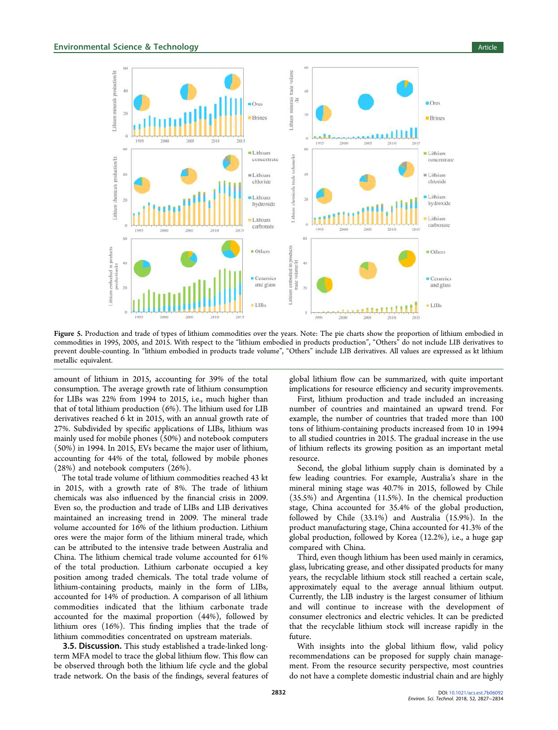<span id="page-5-0"></span>

Figure 5. Production and trade of types of lithium commodities over the years. Note: The pie charts show the proportion of lithium embodied in commodities in 1995, 2005, and 2015. With respect to the "lithium embodied in products production", "Others" do not include LIB derivatives to prevent double-counting. In "lithium embodied in products trade volume", "Others" include LIB derivatives. All values are expressed as kt lithium metallic equivalent.

amount of lithium in 2015, accounting for 39% of the total consumption. The average growth rate of lithium consumption for LIBs was 22% from 1994 to 2015, i.e., much higher than that of total lithium production (6%). The lithium used for LIB derivatives reached 6 kt in 2015, with an annual growth rate of 27%. Subdivided by specific applications of LIBs, lithium was mainly used for mobile phones (50%) and notebook computers (50%) in 1994. In 2015, EVs became the major user of lithium, accounting for 44% of the total, followed by mobile phones (28%) and notebook computers (26%).

The total trade volume of lithium commodities reached 43 kt in 2015, with a growth rate of 8%. The trade of lithium chemicals was also influenced by the financial crisis in 2009. Even so, the production and trade of LIBs and LIB derivatives maintained an increasing trend in 2009. The mineral trade volume accounted for 16% of the lithium production. Lithium ores were the major form of the lithium mineral trade, which can be attributed to the intensive trade between Australia and China. The lithium chemical trade volume accounted for 61% of the total production. Lithium carbonate occupied a key position among traded chemicals. The total trade volume of lithium-containing products, mainly in the form of LIBs, accounted for 14% of production. A comparison of all lithium commodities indicated that the lithium carbonate trade accounted for the maximal proportion (44%), followed by lithium ores (16%). This finding implies that the trade of lithium commodities concentrated on upstream materials.

**3.5. Discussion.** This study established a trade-linked longterm MFA model to trace the global lithium flow. This flow can be observed through both the lithium life cycle and the global trade network. On the basis of the findings, several features of global lithium flow can be summarized, with quite important implications for resource efficiency and security improvements.

First, lithium production and trade included an increasing number of countries and maintained an upward trend. For example, the number of countries that traded more than 100 tons of lithium-containing products increased from 10 in 1994 to all studied countries in 2015. The gradual increase in the use of lithium reflects its growing position as an important metal resource.

Second, the global lithium supply chain is dominated by a few leading countries. For example, Australia's share in the mineral mining stage was 40.7% in 2015, followed by Chile (35.5%) and Argentina (11.5%). In the chemical production stage, China accounted for 35.4% of the global production, followed by Chile (33.1%) and Australia (15.9%). In the product manufacturing stage, China accounted for 41.3% of the global production, followed by Korea (12.2%), i.e., a huge gap compared with China.

Third, even though lithium has been used mainly in ceramics, glass, lubricating grease, and other dissipated products for many years, the recyclable lithium stock still reached a certain scale, approximately equal to the average annual lithium output. Currently, the LIB industry is the largest consumer of lithium and will continue to increase with the development of consumer electronics and electric vehicles. It can be predicted that the recyclable lithium stock will increase rapidly in the future.

With insights into the global lithium flow, valid policy recommendations can be proposed for supply chain management. From the resource security perspective, most countries do not have a complete domestic industrial chain and are highly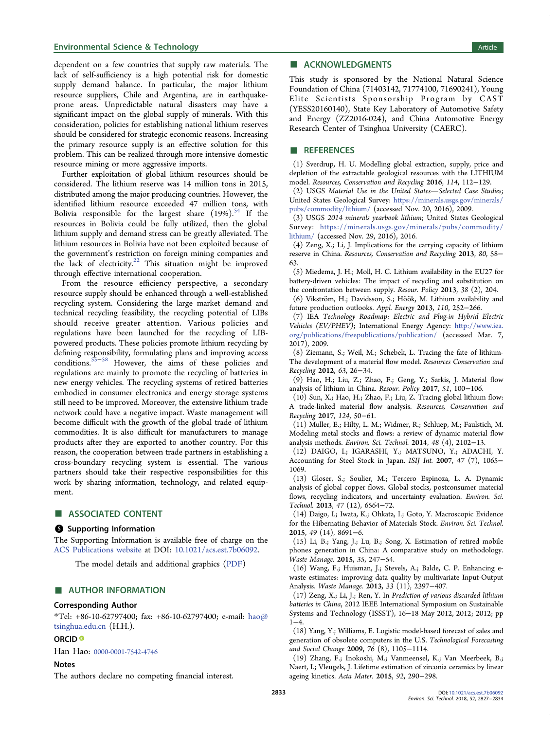#### <span id="page-6-0"></span>**Environmental Science & Technology Article** Article 30 and 30 and 30 and 30 and 30 and 30 and 30 and 30 and 30 and 30 and 30 and 30 and 30 and 30 and 30 and 30 and 30 and 30 and 30 and 30 and 30 and 30 and 30 and 30 and 3

dependent on a few countries that supply raw materials. The lack of self-sufficiency is a high potential risk for domestic supply demand balance. In particular, the major lithium resource suppliers, Chile and Argentina, are in earthquakeprone areas. Unpredictable natural disasters may have a significant impact on the global supply of minerals. With this consideration, policies for establishing national lithium reserves should be considered for strategic economic reasons. Increasing the primary resource supply is an effective solution for this problem. This can be realized through more intensive domestic resource mining or more aggressive imports.

Further exploitation of global lithium resources should be considered. The lithium reserve was 14 million tons in 2015, distributed among the major producing countries. However, the identified lithium resource exceeded 47 million tons, with Bolivia responsible for the largest share  $(19\%)$ .<sup>[54](#page-7-0)</sup> If the resources in Bolivia could be fully utilized, then the global lithium supply and demand stress can be greatly alleviated. The lithium resources in Bolivia have not been exploited because of the government's restriction on foreign mining companies and the lack of electricity.<sup>[22](#page-7-0)</sup> This situation might be improved through effective international cooperation.

From the resource efficiency perspective, a secondary resource supply should be enhanced through a well-established recycling system. Considering the large market demand and technical recycling feasibility, the recycling potential of LIBs should receive greater attention. Various policies and regulations have been launched for the recycling of LIBpowered products. These policies promote lithium recycling by defining responsibility, formulating plans and improving access conditions.[55](#page-7-0)−[58](#page-7-0) However, the aims of these policies and regulations are mainly to promote the recycling of batteries in new energy vehicles. The recycling systems of retired batteries embodied in consumer electronics and energy storage systems still need to be improved. Moreover, the extensive lithium trade network could have a negative impact. Waste management will become difficult with the growth of the global trade of lithium commodities. It is also difficult for manufacturers to manage products after they are exported to another country. For this reason, the cooperation between trade partners in establishing a cross-boundary recycling system is essential. The various partners should take their respective responsibilities for this work by sharing information, technology, and related equipment.

## ■ ASSOCIATED CONTENT

### **6** Supporting Information

The Supporting Information is available free of charge on the [ACS Publications website](http://pubs.acs.org) at DOI: [10.1021/acs.est.7b06092](http://pubs.acs.org/doi/abs/10.1021/acs.est.7b06092).

The model details and additional graphics ([PDF\)](http://pubs.acs.org/doi/suppl/10.1021/acs.est.7b06092/suppl_file/es7b06092_si_001.pdf)

#### ■ AUTHOR INFORMATION

#### Corresponding Author

\*Tel: +86-10-62797400; fax: +86-10-62797400; e-mail: [hao@](mailto:hao@tsinghua.edu.cn) [tsinghua.edu.cn](mailto:hao@tsinghua.edu.cn) (H.H.).

#### ORCID<sup>®</sup>

Han Hao: [0000-0001-7542-4746](http://orcid.org/0000-0001-7542-4746)

# **Notes**

The authors declare no competing financial interest.

# ■ ACKNOWLEDGMENTS

This study is sponsored by the National Natural Science Foundation of China (71403142, 71774100, 71690241), Young Elite Scientists Sponsorship Program by CAST (YESS20160140), State Key Laboratory of Automotive Safety and Energy (ZZ2016-024), and China Automotive Energy Research Center of Tsinghua University (CAERC).

#### ■ REFERENCES

(1) Sverdrup, H. U. Modelling global extraction, supply, price and depletion of the extractable geological resources with the LITHIUM model. Resources, Conservation and Recycling 2016, 114, 112−129.

 $(2)$  USGS Material Use in the United States—Selected Case Studies; United States Geological Survey: [https://minerals.usgs.gov/minerals/](https://minerals.usgs.gov/minerals/pubs/commodity/lithium/) [pubs/commodity/lithium/](https://minerals.usgs.gov/minerals/pubs/commodity/lithium/) (accessed Nov. 20, 2016), 2009.

(3) USGS 2014 minerals yearbook lithium; United States Geological Survey: [https://minerals.usgs.gov/minerals/pubs/commodity/](https://minerals.usgs.gov/minerals/pubs/commodity/lithium/) [lithium/](https://minerals.usgs.gov/minerals/pubs/commodity/lithium/) (accessed Nov. 29, 2016), 2016.

(4) Zeng, X.; Li, J. Implications for the carrying capacity of lithium reserve in China. Resources, Conservation and Recycling 2013, 80, 58− 63.

(5) Miedema, J. H.; Moll, H. C. Lithium availability in the EU27 for battery-driven vehicles: The impact of recycling and substitution on the confrontation between supply. Resour. Policy 2013, 38 (2), 204.

(6) Vikström, H.; Davidsson, S.; Höök, M. Lithium availability and future production outlooks. Appl. Energy 2013, 110, 252−266.

(7) IEA Technology Roadmap: Electric and Plug-in Hybrid Electric Vehicles (EV/PHEV); International Energy Agency: [http://www.iea.](http://www.iea.org/publications/freepublications/publication/) [org/publications/freepublications/publication/](http://www.iea.org/publications/freepublications/publication/) (accessed Mar. 7, 2017), 2009.

(8) Ziemann, S.; Weil, M.; Schebek, L. Tracing the fate of lithium-The development of a material flow model. Resources Conservation and Recycling 2012, 63, 26−34.

(9) Hao, H.; Liu, Z.; Zhao, F.; Geng, Y.; Sarkis, J. Material flow analysis of lithium in China. Resour. Policy 2017, 51, 100−106.

(10) Sun, X.; Hao, H.; Zhao, F.; Liu, Z. Tracing global lithium flow: A trade-linked material flow analysis. Resources, Conservation and Recycling 2017, 124, 50−61.

(11) Muller, E.; Hilty, L. M.; Widmer, R.; Schluep, M.; Faulstich, M. Modeling metal stocks and flows: a review of dynamic material flow analysis methods. Environ. Sci. Technol. 2014, 48 (4), 2102−13.

(12) DAIGO, I.; IGARASHI, Y.; MATSUNO, Y.; ADACHI, Y. Accounting for Steel Stock in Japan. ISIJ Int. 2007, 47 (7), 1065− 1069.

(13) Gloser, S.; Soulier, M.; Tercero Espinoza, L. A. Dynamic analysis of global copper flows. Global stocks, postconsumer material flows, recycling indicators, and uncertainty evaluation. Environ. Sci. Technol. 2013, 47 (12), 6564−72.

(14) Daigo, I.; Iwata, K.; Ohkata, I.; Goto, Y. Macroscopic Evidence for the Hibernating Behavior of Materials Stock. Environ. Sci. Technol. 2015, 49 (14), 8691−6.

(15) Li, B.; Yang, J.; Lu, B.; Song, X. Estimation of retired mobile phones generation in China: A comparative study on methodology. Waste Manage. 2015, 35, 247−54.

(16) Wang, F.; Huisman, J.; Stevels, A.; Balde, C. P. Enhancing ewaste estimates: improving data quality by multivariate Input-Output Analysis. Waste Manage. 2013, 33 (11), 2397−407.

(17) Zeng, X.; Li, J.; Ren, Y. In Prediction of various discarded lithium batteries in China, 2012 IEEE International Symposium on Sustainable Systems and Technology (ISSST), 16−18 May 2012, 2012; 2012; pp 1−4.

(18) Yang, Y.; Williams, E. Logistic model-based forecast of sales and generation of obsolete computers in the U.S. Technological Forecasting and Social Change 2009, 76 (8), 1105−1114.

(19) Zhang, F.; Inokoshi, M.; Vanmeensel, K.; Van Meerbeek, B.; Naert, I.; Vleugels, J. Lifetime estimation of zirconia ceramics by linear ageing kinetics. Acta Mater. 2015, 92, 290−298.